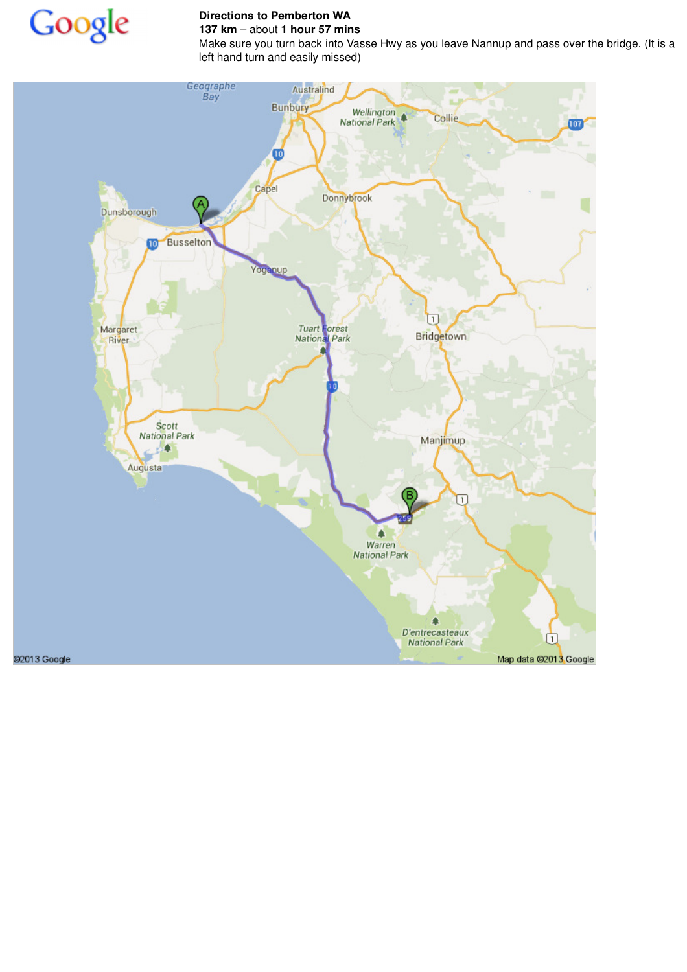

## **Directions to Pemberton WA 137 km** – about **1 hour 57 mins**

Make sure you turn back into Vasse Hwy as you leave Nannup and pass over the bridge. (It is a left hand turn and easily missed)